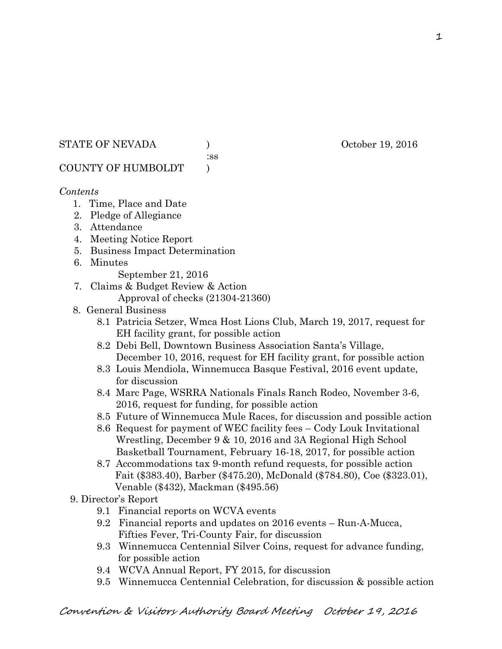### STATE OF NEVADA (a) and the set of the october 19, 2016

:ss

# COUNTY OF HUMBOLDT )

# *Contents*

- 1. Time, Place and Date
- 2. Pledge of Allegiance
- 3. Attendance
- 4. Meeting Notice Report
- 5. Business Impact Determination
- 6. Minutes
	- September 21, 2016
- 7. Claims & Budget Review & Action
	- Approval of checks (21304-21360)
- 8. General Business
	- 8.1 Patricia Setzer, Wmca Host Lions Club, March 19, 2017, request for EH facility grant, for possible action
	- 8.2 Debi Bell, Downtown Business Association Santa's Village, December 10, 2016, request for EH facility grant, for possible action
	- 8.3 Louis Mendiola, Winnemucca Basque Festival, 2016 event update, for discussion
	- 8.4 Marc Page, WSRRA Nationals Finals Ranch Rodeo, November 3-6, 2016, request for funding, for possible action
	- 8.5 Future of Winnemucca Mule Races, for discussion and possible action
	- 8.6 Request for payment of WEC facility fees Cody Louk Invitational Wrestling, December 9 & 10, 2016 and 3A Regional High School Basketball Tournament, February 16-18, 2017, for possible action
	- 8.7 Accommodations tax 9-month refund requests, for possible action Fait (\$383.40), Barber (\$475.20), McDonald (\$784.80), Coe (\$323.01), Venable (\$432), Mackman (\$495.56)
- 9. Director's Report
	- 9.1 Financial reports on WCVA events
	- 9.2 Financial reports and updates on 2016 events Run-A-Mucca, Fifties Fever, Tri-County Fair, for discussion
	- 9.3 Winnemucca Centennial Silver Coins, request for advance funding, for possible action
	- 9.4 WCVA Annual Report, FY 2015, for discussion
	- 9.5 Winnemucca Centennial Celebration, for discussion & possible action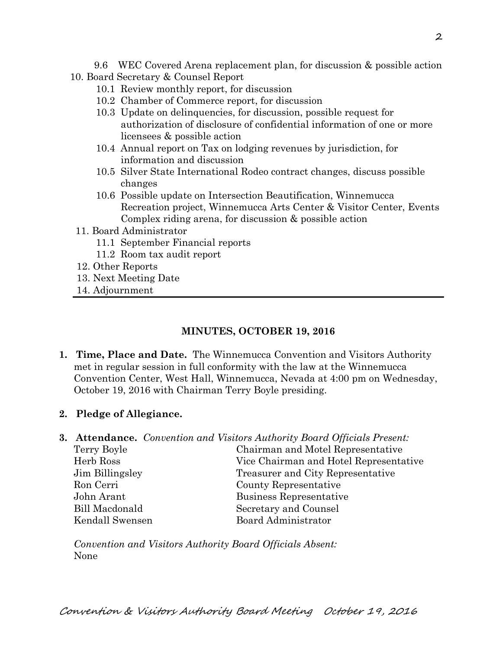9.6 WEC Covered Arena replacement plan, for discussion & possible action

- 10. Board Secretary & Counsel Report
	- 10.1 Review monthly report, for discussion
	- 10.2 Chamber of Commerce report, for discussion
	- 10.3 Update on delinquencies, for discussion, possible request for authorization of disclosure of confidential information of one or more licensees & possible action
	- 10.4 Annual report on Tax on lodging revenues by jurisdiction, for information and discussion
	- 10.5 Silver State International Rodeo contract changes, discuss possible changes
	- 10.6 Possible update on Intersection Beautification, Winnemucca Recreation project, Winnemucca Arts Center & Visitor Center, Events Complex riding arena, for discussion & possible action
	- 11. Board Administrator
		- 11.1 September Financial reports
		- 11.2 Room tax audit report
	- 12. Other Reports
	- 13. Next Meeting Date
	- 14. Adjournment

# **MINUTES, OCTOBER 19, 2016**

- **1. Time, Place and Date.** The Winnemucca Convention and Visitors Authority met in regular session in full conformity with the law at the Winnemucca Convention Center, West Hall, Winnemucca, Nevada at 4:00 pm on Wednesday, October 19, 2016 with Chairman Terry Boyle presiding.
- **2. Pledge of Allegiance.**
- **3. Attendance.** *Convention and Visitors Authority Board Officials Present:*

| Terry Boyle     | Chairman and Motel Representative      |
|-----------------|----------------------------------------|
| Herb Ross       | Vice Chairman and Hotel Representative |
| Jim Billingsley | Treasurer and City Representative      |
| Ron Cerri       | County Representative                  |
| John Arant      | Business Representative                |
| Bill Macdonald  | Secretary and Counsel                  |
| Kendall Swensen | Board Administrator                    |
|                 |                                        |

*Convention and Visitors Authority Board Officials Absent:*  None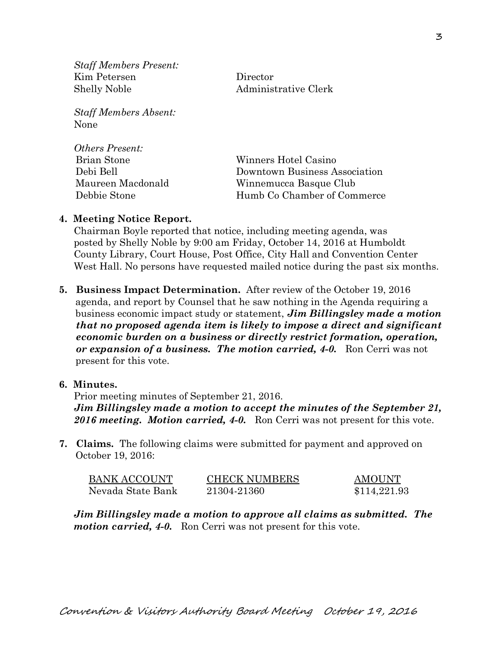*Staff Members Present:*  Kim Petersen Director Shelly Noble Administrative Clerk

*Staff Members Absent:*  None

| <i>Others Present:</i> |                               |  |
|------------------------|-------------------------------|--|
| <b>Brian Stone</b>     | Winners Hotel Casino          |  |
| Debi Bell              | Downtown Business Association |  |
| Maureen Macdonald      | Winnemucca Basque Club        |  |
| Debbie Stone           | Humb Co Chamber of Commerce   |  |

#### **4. Meeting Notice Report.**

Chairman Boyle reported that notice, including meeting agenda, was posted by Shelly Noble by 9:00 am Friday, October 14, 2016 at Humboldt County Library, Court House, Post Office, City Hall and Convention Center West Hall. No persons have requested mailed notice during the past six months.

**5. Business Impact Determination.** After review of the October 19, 2016 agenda, and report by Counsel that he saw nothing in the Agenda requiring a business economic impact study or statement, *Jim Billingsley made a motion that no proposed agenda item is likely to impose a direct and significant economic burden on a business or directly restrict formation, operation, or expansion of a business. The motion carried, 4-0.* Ron Cerri was not present for this vote.

#### **6. Minutes.**

Prior meeting minutes of September 21, 2016. *Jim Billingsley made a motion to accept the minutes of the September 21, 2016 meeting. Motion carried, 4-0.* Ron Cerri was not present for this vote.

**7. Claims.** The following claims were submitted for payment and approved on October 19, 2016:

| <b>BANK ACCOUNT</b> | <b>CHECK NUMBERS</b> | <b>AMOUNT</b> |
|---------------------|----------------------|---------------|
| Nevada State Bank   | 21304-21360          | \$114,221.93  |

*Jim Billingsley made a motion to approve all claims as submitted. The motion carried, 4-0.* Ron Cerri was not present for this vote.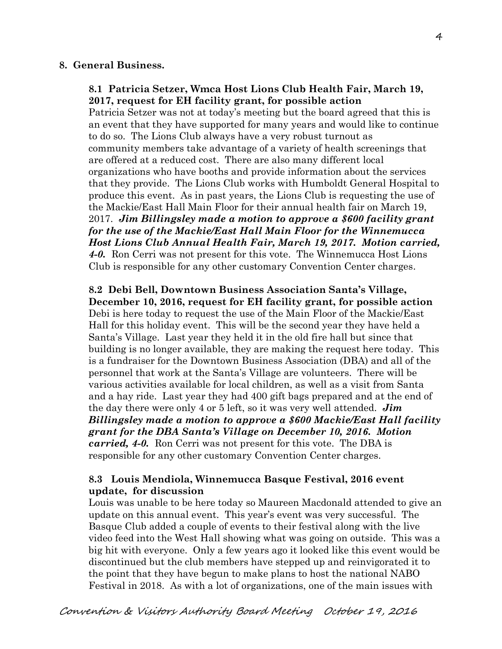#### **8. General Business.**

# **8.1 Patricia Setzer, Wmca Host Lions Club Health Fair, March 19, 2017, request for EH facility grant, for possible action**

Patricia Setzer was not at today's meeting but the board agreed that this is an event that they have supported for many years and would like to continue to do so. The Lions Club always have a very robust turnout as community members take advantage of a variety of health screenings that are offered at a reduced cost. There are also many different local organizations who have booths and provide information about the services that they provide. The Lions Club works with Humboldt General Hospital to produce this event. As in past years, the Lions Club is requesting the use of the Mackie/East Hall Main Floor for their annual health fair on March 19, 2017. *Jim Billingsley made a motion to approve a \$600 facility grant for the use of the Mackie/East Hall Main Floor for the Winnemucca Host Lions Club Annual Health Fair, March 19, 2017. Motion carried, 4-0.* Ron Cerri was not present for this vote. The Winnemucca Host Lions Club is responsible for any other customary Convention Center charges.

**8.2 Debi Bell, Downtown Business Association Santa's Village, December 10, 2016, request for EH facility grant, for possible action**  Debi is here today to request the use of the Main Floor of the Mackie/East Hall for this holiday event. This will be the second year they have held a Santa's Village. Last year they held it in the old fire hall but since that building is no longer available, they are making the request here today. This is a fundraiser for the Downtown Business Association (DBA) and all of the personnel that work at the Santa's Village are volunteers. There will be various activities available for local children, as well as a visit from Santa and a hay ride. Last year they had 400 gift bags prepared and at the end of the day there were only 4 or 5 left, so it was very well attended. *Jim Billingsley made a motion to approve a \$600 Mackie/East Hall facility grant for the DBA Santa's Village on December 10, 2016. Motion carried, 4-0.* Ron Cerri was not present for this vote. The DBA is responsible for any other customary Convention Center charges.

# **8.3 Louis Mendiola, Winnemucca Basque Festival, 2016 event update, for discussion**

Louis was unable to be here today so Maureen Macdonald attended to give an update on this annual event. This year's event was very successful. The Basque Club added a couple of events to their festival along with the live video feed into the West Hall showing what was going on outside. This was a big hit with everyone. Only a few years ago it looked like this event would be discontinued but the club members have stepped up and reinvigorated it to the point that they have begun to make plans to host the national NABO Festival in 2018. As with a lot of organizations, one of the main issues with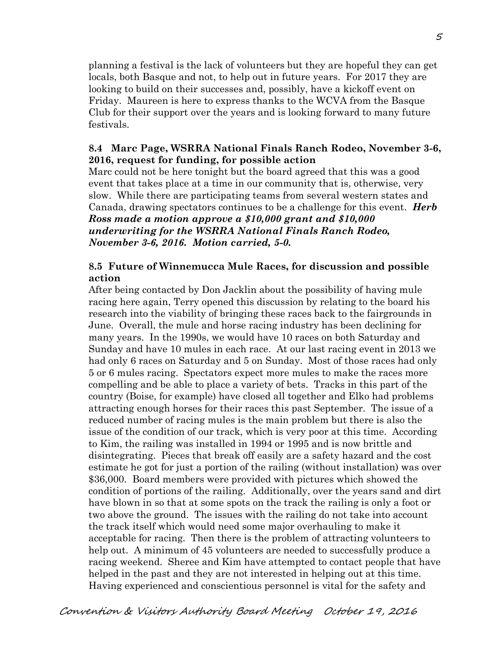planning a festival is the lack of volunteers but they are hopeful they can get locals, both Basque and not, to help out in future years. For 2017 they are looking to build on their successes and, possibly, have a kickoff event on Friday. Maureen is here to express thanks to the WCVA from the Basque Club for their support over the years and is looking forward to many future festivals.

# **8.4 Marc Page, WSRRA National Finals Ranch Rodeo, November 3-6, 2016, request for funding, for possible action**

Marc could not be here tonight but the board agreed that this was a good event that takes place at a time in our community that is, otherwise, very slow. While there are participating teams from several western states and Canada, drawing spectators continues to be a challenge for this event. *Herb Ross made a motion approve a \$10,000 grant and \$10,000 underwriting for the WSRRA National Finals Ranch Rodeo, November 3-6, 2016. Motion carried, 5-0.*

# **8.5 Future of Winnemucca Mule Races, for discussion and possible action**

After being contacted by Don Jacklin about the possibility of having mule racing here again, Terry opened this discussion by relating to the board his research into the viability of bringing these races back to the fairgrounds in June. Overall, the mule and horse racing industry has been declining for many years. In the 1990s, we would have 10 races on both Saturday and Sunday and have 10 mules in each race. At our last racing event in 2013 we had only 6 races on Saturday and 5 on Sunday. Most of those races had only 5 or 6 mules racing. Spectators expect more mules to make the races more compelling and be able to place a variety of bets. Tracks in this part of the country (Boise, for example) have closed all together and Elko had problems attracting enough horses for their races this past September. The issue of a reduced number of racing mules is the main problem but there is also the issue of the condition of our track, which is very poor at this time. According to Kim, the railing was installed in 1994 or 1995 and is now brittle and disintegrating. Pieces that break off easily are a safety hazard and the cost estimate he got for just a portion of the railing (without installation) was over \$36,000. Board members were provided with pictures which showed the condition of portions of the railing. Additionally, over the years sand and dirt have blown in so that at some spots on the track the railing is only a foot or two above the ground. The issues with the railing do not take into account the track itself which would need some major overhauling to make it acceptable for racing. Then there is the problem of attracting volunteers to help out. A minimum of 45 volunteers are needed to successfully produce a racing weekend. Sheree and Kim have attempted to contact people that have helped in the past and they are not interested in helping out at this time. Having experienced and conscientious personnel is vital for the safety and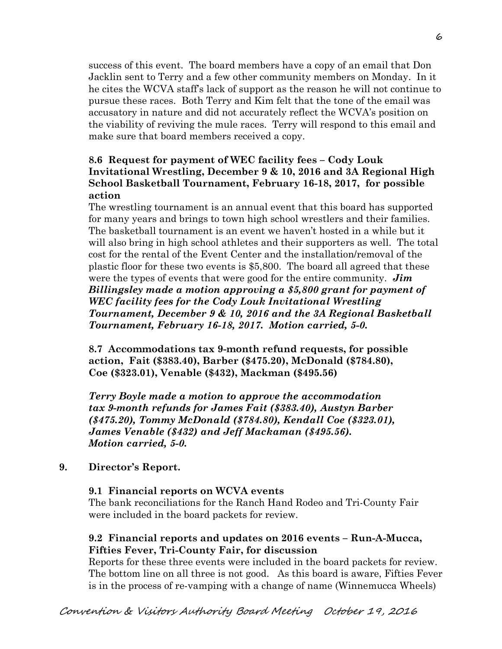success of this event. The board members have a copy of an email that Don Jacklin sent to Terry and a few other community members on Monday. In it he cites the WCVA staff's lack of support as the reason he will not continue to pursue these races. Both Terry and Kim felt that the tone of the email was accusatory in nature and did not accurately reflect the WCVA's position on the viability of reviving the mule races. Terry will respond to this email and make sure that board members received a copy.

# **8.6 Request for payment of WEC facility fees – Cody Louk Invitational Wrestling, December 9 & 10, 2016 and 3A Regional High School Basketball Tournament, February 16-18, 2017, for possible action**

The wrestling tournament is an annual event that this board has supported for many years and brings to town high school wrestlers and their families. The basketball tournament is an event we haven't hosted in a while but it will also bring in high school athletes and their supporters as well. The total cost for the rental of the Event Center and the installation/removal of the plastic floor for these two events is \$5,800. The board all agreed that these were the types of events that were good for the entire community. *Jim Billingsley made a motion approving a \$5,800 grant for payment of WEC facility fees for the Cody Louk Invitational Wrestling Tournament, December 9 & 10, 2016 and the 3A Regional Basketball Tournament, February 16-18, 2017. Motion carried, 5-0.* 

**8.7 Accommodations tax 9-month refund requests, for possible action, Fait (\$383.40), Barber (\$475.20), McDonald (\$784.80), Coe (\$323.01), Venable (\$432), Mackman (\$495.56)** 

*Terry Boyle made a motion to approve the accommodation tax 9-month refunds for James Fait (\$383.40), Austyn Barber (\$475.20), Tommy McDonald (\$784.80), Kendall Coe (\$323.01), James Venable (\$432) and Jeff Mackaman (\$495.56). Motion carried, 5-0.*

# **9. Director's Report.**

# **9.1 Financial reports on WCVA events**

The bank reconciliations for the Ranch Hand Rodeo and Tri-County Fair were included in the board packets for review.

# **9.2 Financial reports and updates on 2016 events – Run-A-Mucca, Fifties Fever, Tri-County Fair, for discussion**

Reports for these three events were included in the board packets for review. The bottom line on all three is not good. As this board is aware, Fifties Fever is in the process of re-vamping with a change of name (Winnemucca Wheels)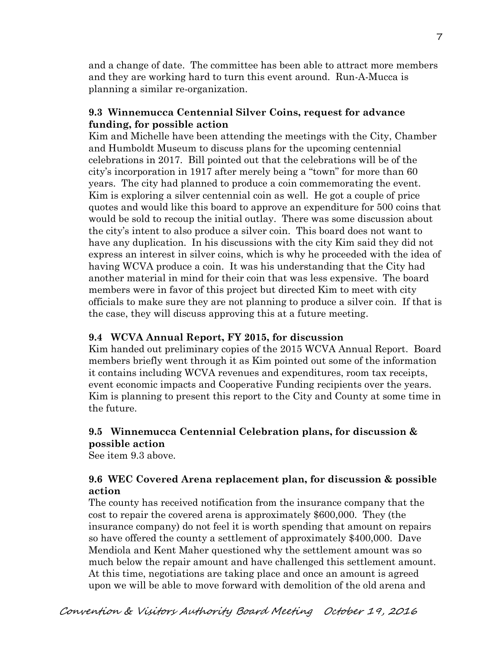and a change of date. The committee has been able to attract more members and they are working hard to turn this event around. Run-A-Mucca is planning a similar re-organization.

#### **9.3 Winnemucca Centennial Silver Coins, request for advance funding, for possible action**

Kim and Michelle have been attending the meetings with the City, Chamber and Humboldt Museum to discuss plans for the upcoming centennial celebrations in 2017. Bill pointed out that the celebrations will be of the city's incorporation in 1917 after merely being a "town" for more than 60 years. The city had planned to produce a coin commemorating the event. Kim is exploring a silver centennial coin as well. He got a couple of price quotes and would like this board to approve an expenditure for 500 coins that would be sold to recoup the initial outlay. There was some discussion about the city's intent to also produce a silver coin. This board does not want to have any duplication. In his discussions with the city Kim said they did not express an interest in silver coins, which is why he proceeded with the idea of having WCVA produce a coin. It was his understanding that the City had another material in mind for their coin that was less expensive. The board members were in favor of this project but directed Kim to meet with city officials to make sure they are not planning to produce a silver coin. If that is the case, they will discuss approving this at a future meeting.

# **9.4 WCVA Annual Report, FY 2015, for discussion**

Kim handed out preliminary copies of the 2015 WCVA Annual Report. Board members briefly went through it as Kim pointed out some of the information it contains including WCVA revenues and expenditures, room tax receipts, event economic impacts and Cooperative Funding recipients over the years. Kim is planning to present this report to the City and County at some time in the future.

# **9.5 Winnemucca Centennial Celebration plans, for discussion & possible action**

See item 9.3 above.

# **9.6 WEC Covered Arena replacement plan, for discussion & possible action**

The county has received notification from the insurance company that the cost to repair the covered arena is approximately \$600,000. They (the insurance company) do not feel it is worth spending that amount on repairs so have offered the county a settlement of approximately \$400,000. Dave Mendiola and Kent Maher questioned why the settlement amount was so much below the repair amount and have challenged this settlement amount. At this time, negotiations are taking place and once an amount is agreed upon we will be able to move forward with demolition of the old arena and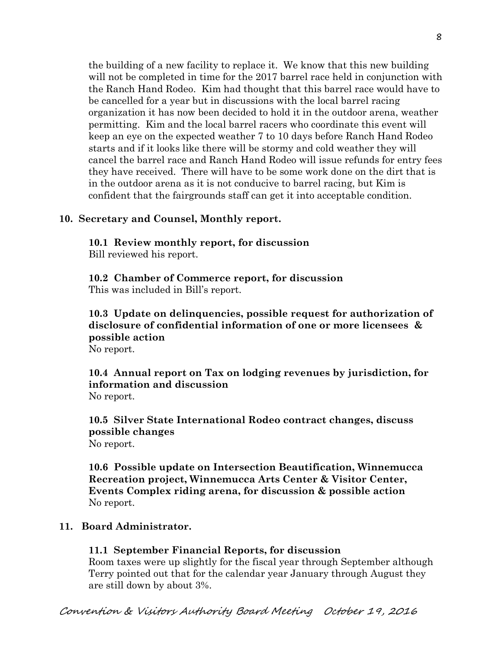the building of a new facility to replace it. We know that this new building will not be completed in time for the 2017 barrel race held in conjunction with the Ranch Hand Rodeo. Kim had thought that this barrel race would have to be cancelled for a year but in discussions with the local barrel racing organization it has now been decided to hold it in the outdoor arena, weather permitting. Kim and the local barrel racers who coordinate this event will keep an eye on the expected weather 7 to 10 days before Ranch Hand Rodeo starts and if it looks like there will be stormy and cold weather they will cancel the barrel race and Ranch Hand Rodeo will issue refunds for entry fees they have received. There will have to be some work done on the dirt that is in the outdoor arena as it is not conducive to barrel racing, but Kim is confident that the fairgrounds staff can get it into acceptable condition.

#### **10. Secretary and Counsel, Monthly report.**

**10.1 Review monthly report, for discussion**  Bill reviewed his report.

**10.2 Chamber of Commerce report, for discussion**  This was included in Bill's report.

**10.3 Update on delinquencies, possible request for authorization of disclosure of confidential information of one or more licensees & possible action**  No report.

**10.4 Annual report on Tax on lodging revenues by jurisdiction, for information and discussion**  No report.

**10.5 Silver State International Rodeo contract changes, discuss possible changes**  No report.

**10.6 Possible update on Intersection Beautification, Winnemucca Recreation project, Winnemucca Arts Center & Visitor Center, Events Complex riding arena, for discussion & possible action**  No report.

#### **11. Board Administrator.**

#### **11.1 September Financial Reports, for discussion**

Room taxes were up slightly for the fiscal year through September although Terry pointed out that for the calendar year January through August they are still down by about 3%.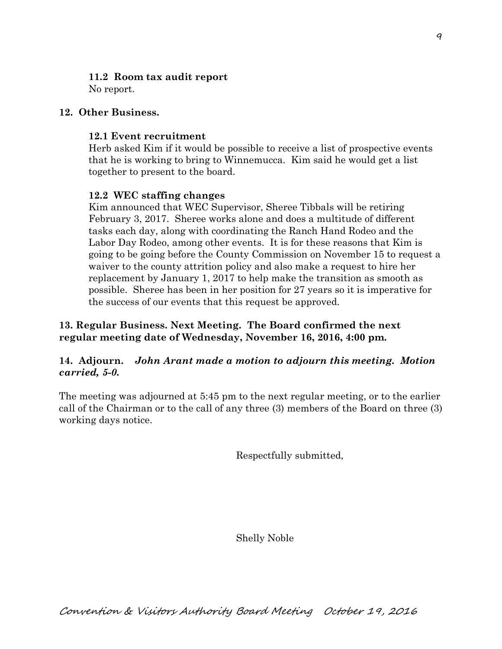# **11.2 Room tax audit report**

No report.

# **12. Other Business.**

# **12.1 Event recruitment**

Herb asked Kim if it would be possible to receive a list of prospective events that he is working to bring to Winnemucca. Kim said he would get a list together to present to the board.

# **12.2 WEC staffing changes**

Kim announced that WEC Supervisor, Sheree Tibbals will be retiring February 3, 2017. Sheree works alone and does a multitude of different tasks each day, along with coordinating the Ranch Hand Rodeo and the Labor Day Rodeo, among other events. It is for these reasons that Kim is going to be going before the County Commission on November 15 to request a waiver to the county attrition policy and also make a request to hire her replacement by January 1, 2017 to help make the transition as smooth as possible. Sheree has been in her position for 27 years so it is imperative for the success of our events that this request be approved.

# **13. Regular Business. Next Meeting. The Board confirmed the next regular meeting date of Wednesday, November 16, 2016, 4:00 pm.**

# **14. Adjourn.** *John Arant made a motion to adjourn this meeting. Motion carried, 5-0.*

The meeting was adjourned at 5:45 pm to the next regular meeting, or to the earlier call of the Chairman or to the call of any three (3) members of the Board on three (3) working days notice.

Respectfully submitted,

Shelly Noble